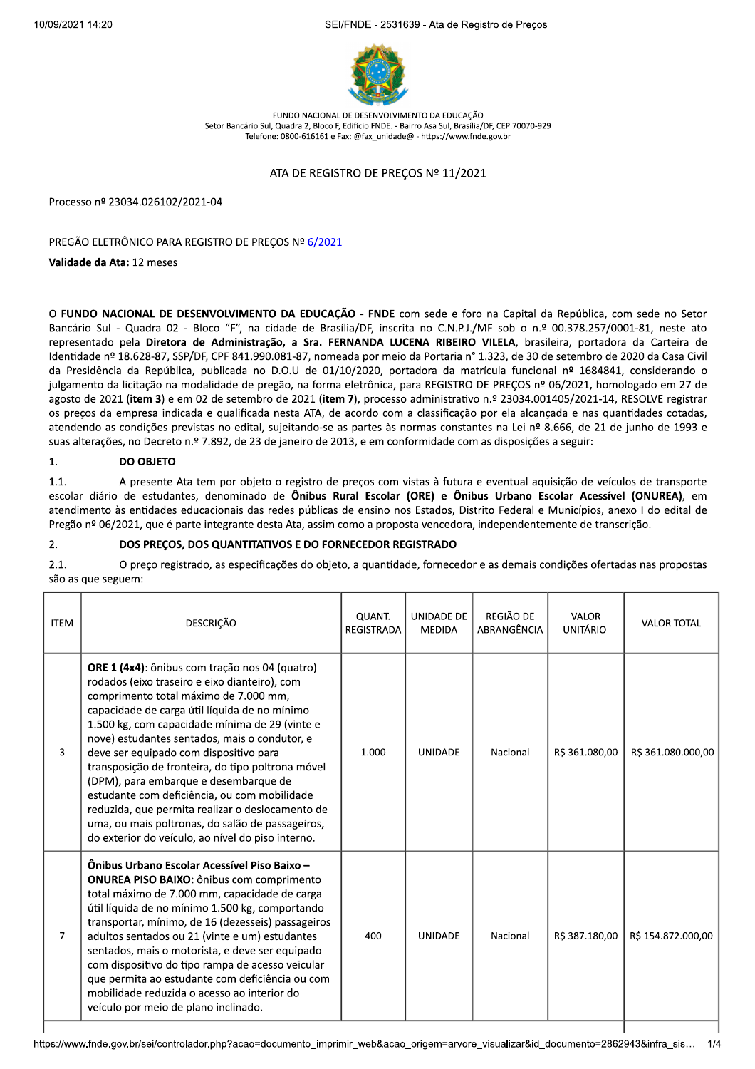SEI/FNDE - 2531639 - Ata de Registro de Preços



EUNDO NACIONAL DE DESENVOLVIMENTO DA EDUCAÇÃO Setor Bancário Sul, Quadra 2, Bloco E, Edifício ENDE, - Bairro Asa Sul, Brasília/DE, CEP 70070-929 Telefone: 0800-616161 e Fax: @fax\_unidade@ - https://www.fnde.gov.br

## ATA DE REGISTRO DE PREÇOS Nº 11/2021

Processo nº 23034.026102/2021-04

PREGÃO ELETRÔNICO PARA REGISTRO DE PREÇOS Nº 6/2021

Validade da Ata: 12 meses

O FUNDO NACIONAL DE DESENVOLVIMENTO DA EDUCAÇÃO - FNDE com sede e foro na Capital da República, com sede no Setor Bancário Sul - Quadra 02 - Bloco "F", na cidade de Brasília/DF, inscrita no C.N.P.J./MF sob o n.º 00.378.257/0001-81, neste ato representado pela Diretora de Administração, a Sra. FERNANDA LUCENA RIBEIRO VILELA, brasileira, portadora da Carteira de Identidade nº 18.628-87, SSP/DF, CPF 841.990.081-87, nomeada por meio da Portaria nº 1.323, de 30 de setembro de 2020 da Casa Civil da Presidência da República, publicada no D.O.U de 01/10/2020, portadora da matrícula funcional nº 1684841, considerando o julgamento da licitação na modalidade de pregão, na forma eletrônica, para REGISTRO DE PRECOS nº 06/2021, homologado em 27 de agosto de 2021 (item 3) e em 02 de setembro de 2021 (item 7), processo administrativo n.º 23034.001405/2021-14, RESOLVE registrar os preços da empresa indicada e qualificada nesta ATA, de acordo com a classificação por ela alcançada e nas quantidades cotadas, atendendo as condições previstas no edital, sujeitando-se as partes às normas constantes na Lei nº 8.666, de 21 de junho de 1993 e suas alterações, no Decreto n.º 7.892, de 23 de janeiro de 2013, e em conformidade com as disposições a seguir:

### **DO OBJETO** 1.

 $1.1.$ A presente Ata tem por objeto o registro de preços com vistas à futura e eventual aquisição de veículos de transporte escolar diário de estudantes, denominado de Ônibus Rural Escolar (ORE) e Ônibus Urbano Escolar Acessível (ONUREA), em atendimento às entidades educacionais das redes públicas de ensino nos Estados, Distrito Federal e Municípios, anexo I do edital de Pregão nº 06/2021, que é parte integrante desta Ata, assim como a proposta vencedora, independentemente de transcrição.

### DOS PREÇOS, DOS QUANTITATIVOS E DO FORNECEDOR REGISTRADO 2.

 $21$ O preço registrado, as especificações do objeto, a quantidade, fornecedor e as demais condições ofertadas nas propostas são as que seguem:

| <b>ITEM</b> | <b>DESCRICÃO</b>                                                                                                                                                                                                                                                                                                                                                                                                                                                                                                                                                                                                                                          | <b>QUANT.</b><br><b>REGISTRADA</b> | UNIDADE DE<br><b>MEDIDA</b> | REGIÃO DE<br>ABRANGÊNCIA | VALOR<br><b>UNITÁRIO</b> | <b>VALOR TOTAL</b> |
|-------------|-----------------------------------------------------------------------------------------------------------------------------------------------------------------------------------------------------------------------------------------------------------------------------------------------------------------------------------------------------------------------------------------------------------------------------------------------------------------------------------------------------------------------------------------------------------------------------------------------------------------------------------------------------------|------------------------------------|-----------------------------|--------------------------|--------------------------|--------------------|
| 3           | <b>ORE 1 (4x4)</b> : ônibus com tração nos 04 (quatro)<br>rodados (eixo traseiro e eixo dianteiro), com<br>comprimento total máximo de 7.000 mm,<br>capacidade de carga útil líquida de no mínimo<br>1.500 kg, com capacidade mínima de 29 (vinte e<br>nove) estudantes sentados, mais o condutor, e<br>deve ser equipado com dispositivo para<br>transposição de fronteira, do tipo poltrona móvel<br>(DPM), para embarque e desembarque de<br>estudante com deficiência, ou com mobilidade<br>reduzida, que permita realizar o deslocamento de<br>uma, ou mais poltronas, do salão de passageiros,<br>do exterior do veículo, ao nível do piso interno. | 1.000                              | <b>UNIDADE</b>              | Nacional                 | R\$ 361.080,00           | R\$ 361.080.000,00 |
| 7           | Ônibus Urbano Escolar Acessível Piso Baixo -<br><b>ONUREA PISO BAIXO:</b> ônibus com comprimento<br>total máximo de 7.000 mm, capacidade de carga<br>útil líquida de no mínimo 1.500 kg, comportando<br>transportar, mínimo, de 16 (dezesseis) passageiros<br>adultos sentados ou 21 (vinte e um) estudantes<br>sentados, mais o motorista, e deve ser equipado<br>com dispositivo do tipo rampa de acesso veicular<br>que permita ao estudante com deficiência ou com<br>mobilidade reduzida o acesso ao interior do<br>veículo por meio de plano inclinado.                                                                                             | 400                                | <b>UNIDADE</b>              | Nacional                 | R\$ 387.180,00           | R\$ 154.872.000,00 |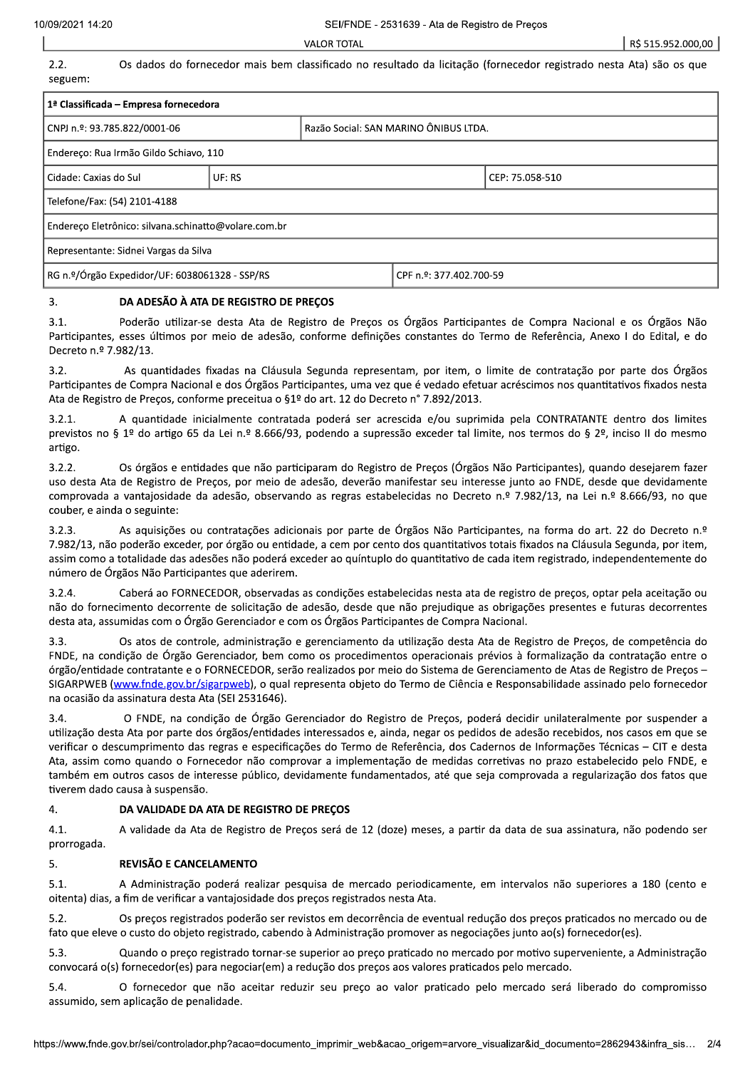**VALOR TOTAL** 

 $2.2.$ 

Os dados do fornecedor mais bem classificado no resultado da licitação (fornecedor registrado nesta Ata) são os que seguem:

| 1 <sup>ª</sup> Classificada – Empresa fornecedora    |  |                                       |                         |  |
|------------------------------------------------------|--|---------------------------------------|-------------------------|--|
| CNPJ n.º: 93.785.822/0001-06                         |  | Razão Social: SAN MARINO ÔNIBUS LTDA. |                         |  |
| Endereco: Rua Irmão Gildo Schiavo, 110               |  |                                       |                         |  |
| l Cidade: Caxias do Sul                              |  |                                       | CEP: 75.058-510         |  |
| Telefone/Fax: (54) 2101-4188                         |  |                                       |                         |  |
| Endereço Eletrônico: silvana.schinatto@volare.com.br |  |                                       |                         |  |
| Representante: Sidnei Vargas da Silva                |  |                                       |                         |  |
| RG n.º/Órgão Expedidor/UF: 6038061328 - SSP/RS       |  |                                       | CPF n.º: 377.402.700-59 |  |

### DA ADESÃO À ATA DE REGISTRO DE PREÇOS  $\mathbf{R}$

Poderão utilizar-se desta Ata de Registro de Preços os Órgãos Participantes de Compra Nacional e os Órgãos Não  $31$ Participantes, esses últimos por meio de adesão, conforme definições constantes do Termo de Referência, Anexo I do Edital, e do Decreto n.º 7.982/13.

 $3.2.$ As quantidades fixadas na Cláusula Segunda representam, por item, o limite de contratação por parte dos Órgãos Participantes de Compra Nacional e dos Órgãos Participantes, uma vez que é vedado efetuar acréscimos nos quantitativos fixados nesta Ata de Registro de Precos, conforme preceitua o §1º do art. 12 do Decreto nº 7.892/2013.

A quantidade inicialmente contratada poderá ser acrescida e/ou suprimida pela CONTRATANTE dentro dos limites  $3.2.1.$ previstos no § 1º do artigo 65 da Lei n.º 8.666/93, podendo a supressão exceder tal limite, nos termos do § 2º, inciso II do mesmo artigo.

 $3.2.2.$ Os órgãos e entidades que não participaram do Registro de Precos (Órgãos Não Participantes), quando desejarem fazer uso desta Ata de Registro de Preços, por meio de adesão, deverão manifestar seu interesse junto ao FNDE, desde que devidamente comprovada a vantajosidade da adesão, observando as regras estabelecidas no Decreto n.º 7.982/13, na Lei n.º 8.666/93, no que couber, e ainda o seguinte:

 $3.2.3.$ As aquisições ou contratações adicionais por parte de Órgãos Não Participantes, na forma do art. 22 do Decreto n.º 7.982/13, não poderão exceder, por órgão ou entidade, a cem por cento dos quantitativos totais fixados na Cláusula Segunda, por item, assim como a totalidade das adesões não poderá exceder ao quíntuplo do quantitativo de cada item registrado, independentemente do número de Órgãos Não Participantes que aderirem.

Caberá ao FORNECEDOR, observadas as condições estabelecidas nesta ata de registro de preços, optar pela aceitação ou  $3.2.4.$ não do fornecimento decorrente de solicitação de adesão, desde que não prejudique as obrigações presentes e futuras decorrentes desta ata, assumidas com o Órgão Gerenciador e com os Órgãos Participantes de Compra Nacional.

3.3. Os atos de controle, administração e gerenciamento da utilização desta Ata de Registro de Preços, de competência do FNDE, na condição de Órgão Gerenciador, bem como os procedimentos operacionais prévios à formalização da contratação entre o órgão/entidade contratante e o FORNECEDOR, serão realizados por meio do Sistema de Gerenciamento de Atas de Registro de Preços -SIGARPWEB (www.fnde.gov.br/sigarpweb), o qual representa objeto do Termo de Ciência e Responsabilidade assinado pelo fornecedor na ocasião da assinatura desta Ata (SEI 2531646).

 $3.4.$ O FNDE, na condição de Órgão Gerenciador do Registro de Preços, poderá decidir unilateralmente por suspender a utilização desta Ata por parte dos órgãos/entidades interessados e, ainda, negar os pedidos de adesão recebidos, nos casos em que se verificar o descumprimento das regras e especificações do Termo de Referência, dos Cadernos de Informações Técnicas - CIT e desta Ata, assim como quando o Fornecedor não comprovar a implementação de medidas corretivas no prazo estabelecido pelo FNDE, e também em outros casos de interesse público, devidamente fundamentados, até que seja comprovada a regularização dos fatos que tiverem dado causa à suspensão.

#### 4. DA VALIDADE DA ATA DE REGISTRO DE PREÇOS

4.1. A validade da Ata de Registro de Preços será de 12 (doze) meses, a partir da data de sua assinatura, não podendo ser prorrogada.

#### REVISÃO E CANCELAMENTO 5.

 $5.1.$ A Administração poderá realizar pesquisa de mercado periodicamente, em intervalos não superiores a 180 (cento e oitenta) dias, a fim de verificar a vantajosidade dos preços registrados nesta Ata.

 $5.2.$ Os preços registrados poderão ser revistos em decorrência de eventual redução dos preços praticados no mercado ou de fato que eleve o custo do objeto registrado, cabendo à Administração promover as negociações junto ao(s) fornecedor(es).

5.3. Quando o preco registrado tornar-se superior ao preco praticado no mercado por motivo superveniente, a Administração convocará o(s) fornecedor(es) para negociar(em) a redução dos preços aos valores praticados pelo mercado.

O fornecedor que não aceitar reduzir seu preço ao valor praticado pelo mercado será liberado do compromisso  $5.4.$ assumido, sem aplicação de penalidade.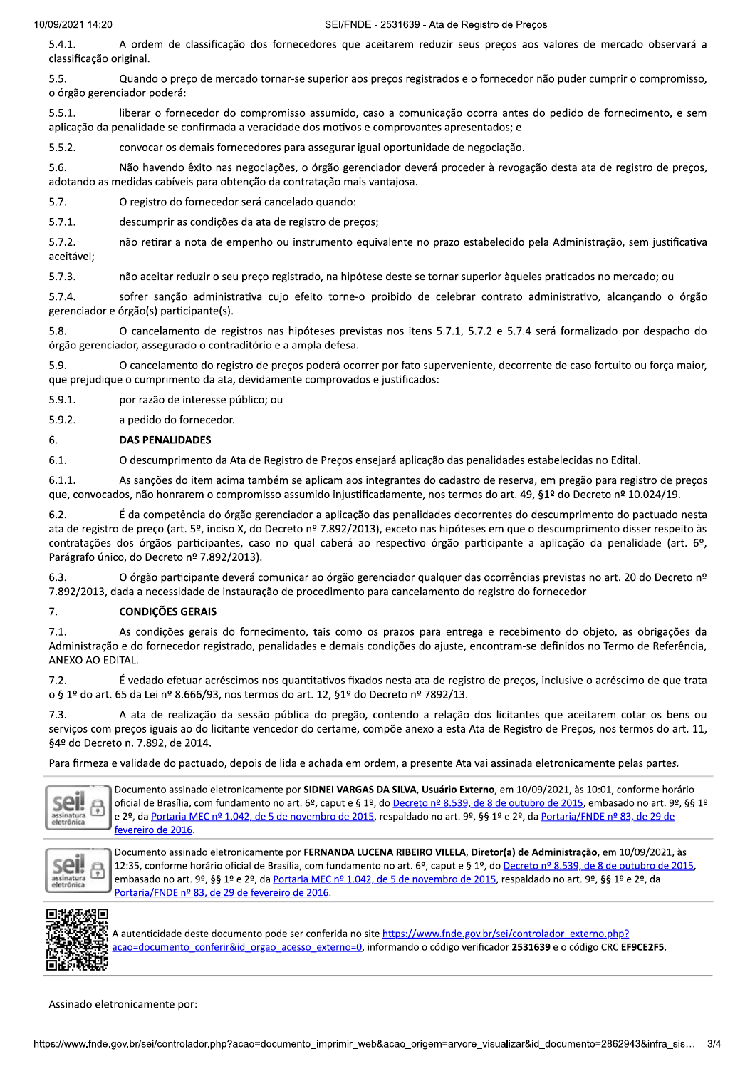A ordem de classificação dos fornecedores que aceitarem reduzir seus preços aos valores de mercado observará a  $5.4.1.$ classificação original.

 $5.5.$ Quando o preco de mercado tornar-se superior aos precos registrados e o fornecedor não puder cumprir o compromisso, o órgão gerenciador poderá:

 $5.5.1.$ liberar o fornecedor do compromisso assumido, caso a comunicação ocorra antes do pedido de fornecimento, e sem aplicação da penalidade se confirmada a veracidade dos motivos e comprovantes apresentados; e

 $5.5.2.$ convocar os demais fornecedores para assegurar igual oportunidade de negociação.

Não havendo êxito nas negociações, o órgão gerenciador deverá proceder à revogação desta ata de registro de preços, 5.6. adotando as medidas cabíveis para obtenção da contratação mais vantajosa.

 $5.7.$ O registro do fornecedor será cancelado quando:

 $5.7.1.$ descumprir as condições da ata de registro de preços;

 $5.7.2.$ não retirar a nota de empenho ou instrumento equivalente no prazo estabelecido pela Administração, sem justificativa aceitável;

 $5.7.3.$ não aceitar reduzir o seu preço registrado, na hipótese deste se tornar superior àqueles praticados no mercado; ou

 $5.7.4$ sofrer sanção administrativa cujo efeito torne-o proibido de celebrar contrato administrativo, alcançando o órgão gerenciador e órgão(s) participante(s).

O cancelamento de registros nas hipóteses previstas nos itens 5.7.1, 5.7.2 e 5.7.4 será formalizado por despacho do 5.8 órgão gerenciador, assegurado o contraditório e a ampla defesa.

 $5.9.$ O cancelamento do registro de preços poderá ocorrer por fato superveniente, decorrente de caso fortuito ou força maior, que prejudique o cumprimento da ata, devidamente comprovados e justificados:

 $5.9.1.$ por razão de interesse público; ou

 $5.9.2.$ a pedido do fornecedor.

#### **DAS PENALIDADES** 6.

 $6.1.$ O descumprimento da Ata de Registro de Preços ensejará aplicação das penalidades estabelecidas no Edital.

 $6.1.1.$ As sanções do item acima também se aplicam aos integrantes do cadastro de reserva, em pregão para registro de preços que, convocados, não honrarem o compromisso assumido injustificadamente, nos termos do art. 49, §1º do Decreto nº 10.024/19.

É da competência do órgão gerenciador a aplicação das penalidades decorrentes do descumprimento do pactuado nesta  $6.2.$ ata de registro de preço (art. 5º, inciso X, do Decreto nº 7.892/2013), exceto nas hipóteses em que o descumprimento disser respeito às contratações dos órgãos participantes, caso no qual caberá ao respectivo órgão participante a aplicação da penalidade (art. 6º, Parágrafo único, do Decreto nº 7.892/2013).

O órgão participante deverá comunicar ao órgão gerenciador qualquer das ocorrências previstas no art. 20 do Decreto nº 6.3. 7.892/2013, dada a necessidade de instauração de procedimento para cancelamento do registro do fornecedor

### **CONDIÇÕES GERAIS** 7.

 $7.1.$ As condições gerais do fornecimento, tais como os prazos para entrega e recebimento do objeto, as obrigações da Administração e do fornecedor registrado, penalidades e demais condições do ajuste, encontram-se definidos no Termo de Referência, ANEXO AO EDITAL.

 $7.2.$ É vedado efetuar acréscimos nos quantitativos fixados nesta ata de registro de preços, inclusive o acréscimo de que trata o § 1º do art. 65 da Lei nº 8.666/93, nos termos do art. 12, §1º do Decreto nº 7892/13.

A ata de realização da sessão pública do pregão, contendo a relação dos licitantes que aceitarem cotar os bens ou  $7.3.$ serviços com preços iguais ao do licitante vencedor do certame, compõe anexo a esta Ata de Registro de Preços, nos termos do art. 11, §4º do Decreto n. 7.892, de 2014.

Para firmeza e validade do pactuado, depois de lida e achada em ordem, a presente Ata vai assinada eletronicamente pelas partes.



Documento assinado eletronicamente por SIDNEI VARGAS DA SILVA, Usuário Externo, em 10/09/2021, às 10:01, conforme horário oficial de Brasília, com fundamento no art. 6º, caput e § 1º, do Decreto nº 8.539, de 8 de outubro de 2015, embasado no art. 9º, §§ 1º e 2º, da Portaria MEC nº 1.042, de 5 de novembro de 2015, respaldado no art. 9º, §§ 1º e 2º, da Portaria/FNDE nº 83, de 29 de fevereiro de 2016.



Documento assinado eletronicamente por FERNANDA LUCENA RIBEIRO VILELA, Diretor(a) de Administração, em 10/09/2021, às 12:35, conforme horário oficial de Brasília, com fundamento no art. 6º, caput e § 1º, do Decreto nº 8.539, de 8 de outubro de 2015, embasado no art. 9º, §§ 1º e 2º, da Portaria MEC nº 1.042, de 5 de novembro de 2015, respaldado no art. 9º, §§ 1º e 2º, da Portaria/FNDE nº 83, de 29 de fevereiro de 2016.



A autenticidade deste documento pode ser conferida no site https://www.fnde.gov.br/sei/controlador externo.php? acao=documento\_conferir&id\_orgao\_acesso\_externo=0, informando o código verificador 2531639 e o código CRC EF9CE2F5.

Assinado eletronicamente por: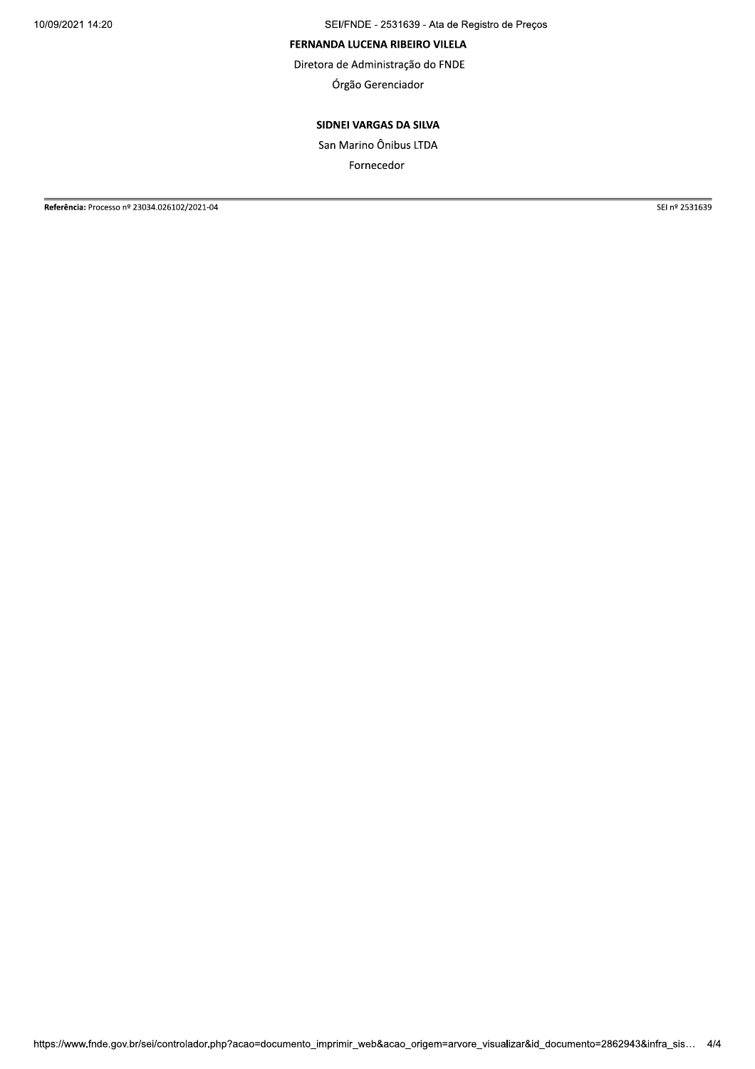SEI/FNDE - 2531639 - Ata de Registro de Preços

## FERNANDA LUCENA RIBEIRO VILELA

Diretora de Administração do FNDE

Órgão Gerenciador

# SIDNEI VARGAS DA SILVA

San Marino Ônibus LTDA

Fornecedor

Referência: Processo nº 23034.026102/2021-04

SEI nº 2531639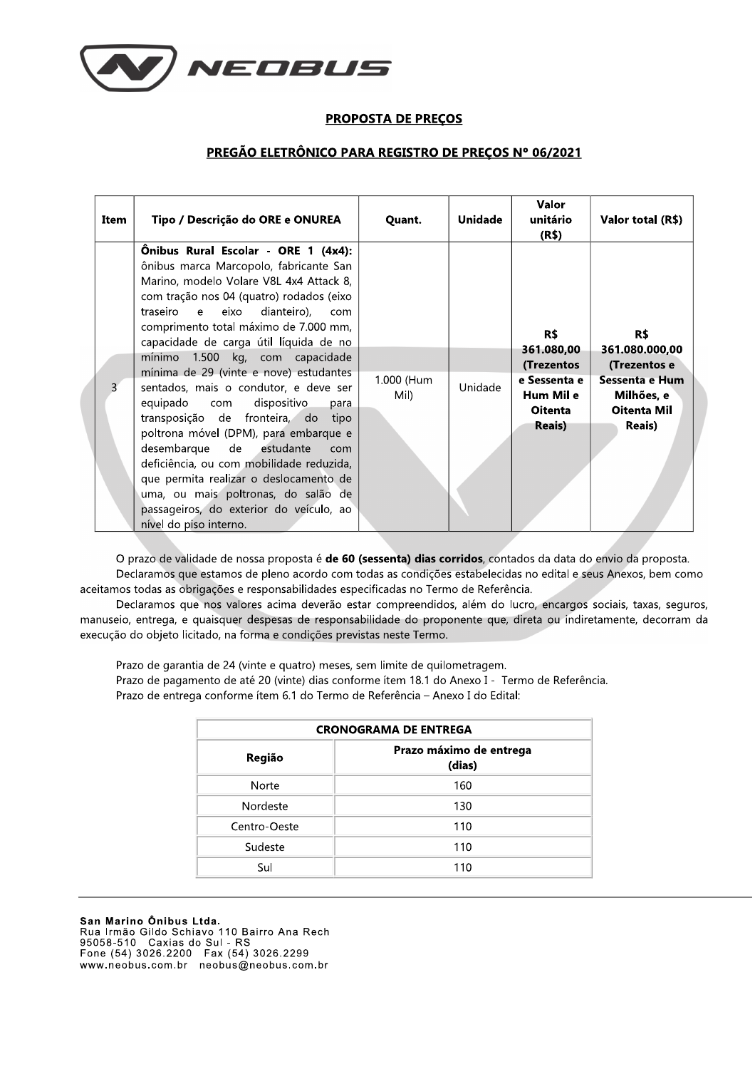

## **PROPOSTA DE PREÇOS**

## PREGÃO ELETRÔNICO PARA REGISTRO DE PREÇOS Nº 06/2021

| Item           | Tipo / Descrição do ORE e ONUREA                                                                                                                                                                                                                                                                                                                                                                                                                                                                                                                                                                                                                                                                                                                                         | Quant.             | <b>Unidade</b> | Valor<br>unitário<br>(R\$)                                                                       | Valor total (R\$)                                                                                             |
|----------------|--------------------------------------------------------------------------------------------------------------------------------------------------------------------------------------------------------------------------------------------------------------------------------------------------------------------------------------------------------------------------------------------------------------------------------------------------------------------------------------------------------------------------------------------------------------------------------------------------------------------------------------------------------------------------------------------------------------------------------------------------------------------------|--------------------|----------------|--------------------------------------------------------------------------------------------------|---------------------------------------------------------------------------------------------------------------|
| $\overline{3}$ | Onibus Rural Escolar - ORE 1 (4x4):<br>ônibus marca Marcopolo, fabricante San<br>Marino, modelo Volare V8L 4x4 Attack 8,<br>com tração nos 04 (quatro) rodados (eixo<br>traseiro e eixo dianteiro), com<br>comprimento total máximo de 7.000 mm,<br>capacidade de carga útil líquida de no<br>mínimo 1.500 kg, com capacidade<br>mínima de 29 (vinte e nove) estudantes<br>sentados, mais o condutor, e deve ser<br>equipado com dispositivo<br>para<br>transposição de fronteira, do tipo<br>poltrona móvel (DPM), para embarque e<br>desembarque de estudante<br>com<br>deficiência, ou com mobilidade reduzida,<br>que permita realizar o deslocamento de<br>uma, ou mais poltronas, do salão de<br>passageiros, do exterior do veículo, ao<br>nível do piso interno. | 1.000 (Hum<br>Mil) | Unidade        | R\$<br>361.080,00<br>(Trezentos<br>e Sessenta e<br>Hum Mil e<br><b>Oitenta</b><br><b>Reais</b> ) | R\$<br>361.080.000,00<br>(Trezentos e<br>Sessenta e Hum<br>Milhões, e<br><b>Oitenta Mil</b><br><b>Reais</b> ) |

O prazo de validade de nossa proposta é de 60 (sessenta) dias corridos, contados da data do envio da proposta. Declaramos que estamos de pleno acordo com todas as condições estabelecidas no edital e seus Anexos, bem como aceitamos todas as obrigações e responsabilidades especificadas no Termo de Referência.

Declaramos que nos valores acima deverão estar compreendidos, além do lucro, encargos sociais, taxas, seguros, manuseio, entrega, e quaisquer despesas de responsabilidade do proponente que, direta ou indiretamente, decorram da execução do objeto licitado, na forma e condições previstas neste Termo.

Prazo de garantia de 24 (vinte e quatro) meses, sem limite de quilometragem. Prazo de pagamento de até 20 (vinte) dias conforme ítem 18.1 do Anexo I - Termo de Referência. Prazo de entrega conforme ítem 6.1 do Termo de Referência - Anexo I do Edital:

| <b>CRONOGRAMA DE ENTREGA</b> |                                   |  |  |  |
|------------------------------|-----------------------------------|--|--|--|
| Região                       | Prazo máximo de entrega<br>(dias) |  |  |  |
| Norte                        | 160                               |  |  |  |
| Nordeste                     | 130                               |  |  |  |
| Centro-Oeste                 | 110                               |  |  |  |
| Sudeste                      | 110                               |  |  |  |
| Sul                          | 110                               |  |  |  |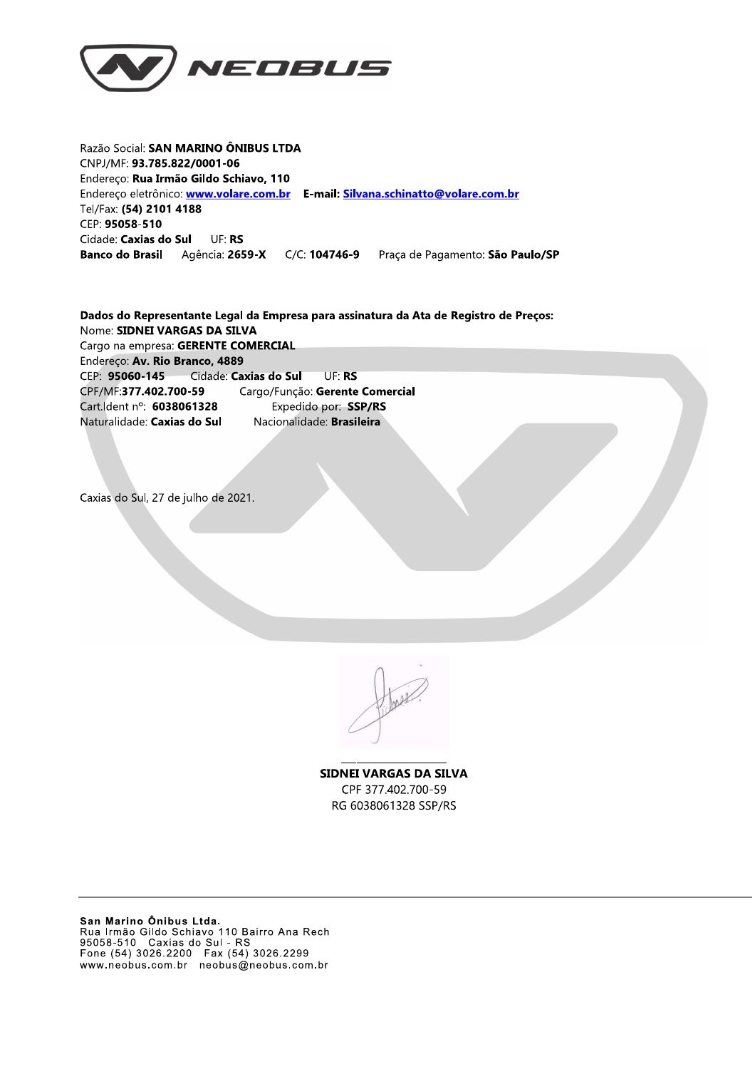

Razão Social: SAN MARINO ÔNIBUS LTDA CNPJ/MF: 93.785.822/0001-06 Endereço: Rua Irmão Gildo Schiavo, 110 Endereço eletrônico: www.volare.com.br E-mail: Silvana.schinatto@volare.com.br Tel/Fax: (54) 2101 4188 CEP: 95058-510 Cidade: Caxias do Sul UF: RS **Banco do Brasil** Praça de Pagamento: São Paulo/SP

Dados do Representante Legal da Empresa para assinatura da Ata de Registro de Preços: Nome: SIDNEI VARGAS DA SILVA Cargo na empresa: GERENTE COMERCIAL Endereço: Av. Rio Branco, 4889 CEP: 95060-145 Cidade: Caxias do Sul UF: RS CPF/MF:377.402.700-59 Cargo/Função: Gerente Comercial Cart. dent n°: 6038061328 Expedido por: SSP/RS Nacionalidade: Brasileira Naturalidade: Caxias do Sul

Caxias do Sul, 27 de julho de 2021.

**SIDNEI VARGAS DA SILVA** CPF 377.402.700-59 RG 6038061328 SSP/RS

San Marino Ônibus Ltda.<br>Rua Irmão Gildo Schiavo 110 Bairro Ana Rech<br>95058-510 Caxias do Sul - RS<br>Fone (54) 3026.2200 Fax (54) 3026.2299 www.neobus.com.br neobus@neobus.com.br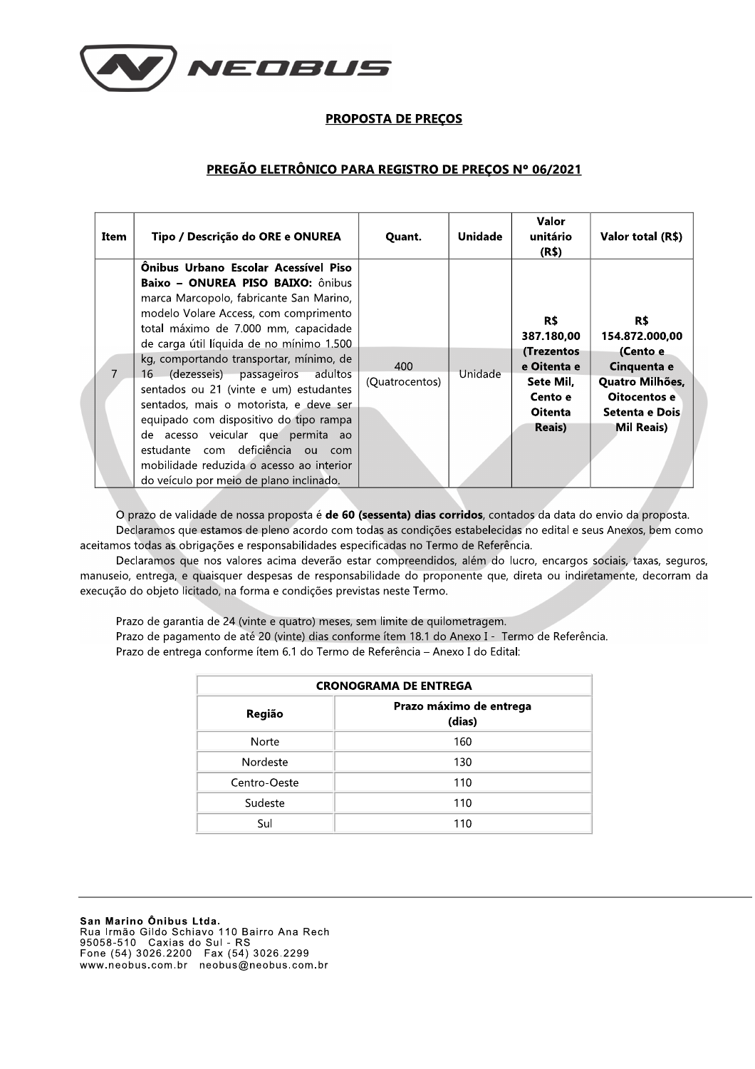

## **PROPOSTA DE PRECOS**

## PREGÃO ELETRÔNICO PARA REGISTRO DE PREÇOS Nº 06/2021

| Item | Tipo / Descrição do ORE e ONUREA                                                                                                                                                                                                                                                                                                                                                                                                                                                                                                                                                                                                              | Quant.                | Unidade | Valor<br>unitário<br>(R\$)                                                                                 | Valor total (R\$)                                                                                                   |
|------|-----------------------------------------------------------------------------------------------------------------------------------------------------------------------------------------------------------------------------------------------------------------------------------------------------------------------------------------------------------------------------------------------------------------------------------------------------------------------------------------------------------------------------------------------------------------------------------------------------------------------------------------------|-----------------------|---------|------------------------------------------------------------------------------------------------------------|---------------------------------------------------------------------------------------------------------------------|
|      | Önibus Urbano Escolar Acessível Piso<br><b>Baixo - ONUREA PISO BAIXO:</b> ônibus<br>marca Marcopolo, fabricante San Marino,<br>modelo Volare Access, com comprimento<br>total máximo de 7.000 mm, capacidade<br>de carga útil líquida de no mínimo 1.500<br>kg, comportando transportar, mínimo, de<br>(dezesseis) passageiros<br>adultos<br>16<br>sentados ou 21 (vinte e um) estudantes<br>sentados, mais o motorista, e deve ser<br>equipado com dispositivo do tipo rampa<br>de acesso veicular que permita ao<br>estudante com deficiência ou com<br>mobilidade reduzida o acesso ao interior<br>do veículo por meio de plano inclinado. | 400<br>(Quatrocentos) | Unidade | R\$<br>387.180,00<br>(Trezentos<br>e Oitenta e<br>Sete Mil,<br>Cento e<br><b>Oitenta</b><br><b>Reais</b> ) | R\$<br>154.872.000,00<br>(Cento e<br>Cinquenta e<br>Quatro Milhões,<br>Oitocentos e<br>Setenta e Dois<br>Mil Reais) |

O prazo de validade de nossa proposta é de 60 (sessenta) dias corridos, contados da data do envio da proposta. Declaramos que estamos de pleno acordo com todas as condições estabelecidas no edital e seus Anexos, bem como aceitamos todas as obrigações e responsabilidades especificadas no Termo de Referência.

Declaramos que nos valores acima deverão estar compreendidos, além do lucro, encargos sociais, taxas, seguros, manuseio, entrega, e quaisquer despesas de responsabilidade do proponente que, direta ou indiretamente, decorram da execução do objeto licitado, na forma e condições previstas neste Termo.

Prazo de garantia de 24 (vinte e quatro) meses, sem limite de quilometragem. Prazo de pagamento de até 20 (vinte) dias conforme ítem 18.1 do Anexo I - Termo de Referência. Prazo de entrega conforme ítem 6.1 do Termo de Referência - Anexo I do Edital:

| <b>CRONOGRAMA DE ENTREGA</b> |                                   |  |  |  |
|------------------------------|-----------------------------------|--|--|--|
| Região                       | Prazo máximo de entrega<br>(dias) |  |  |  |
| Norte                        | 160                               |  |  |  |
| Nordeste                     | 130                               |  |  |  |
| Centro-Oeste                 | 110                               |  |  |  |
| Sudeste                      | 110                               |  |  |  |
| Sul                          | 110                               |  |  |  |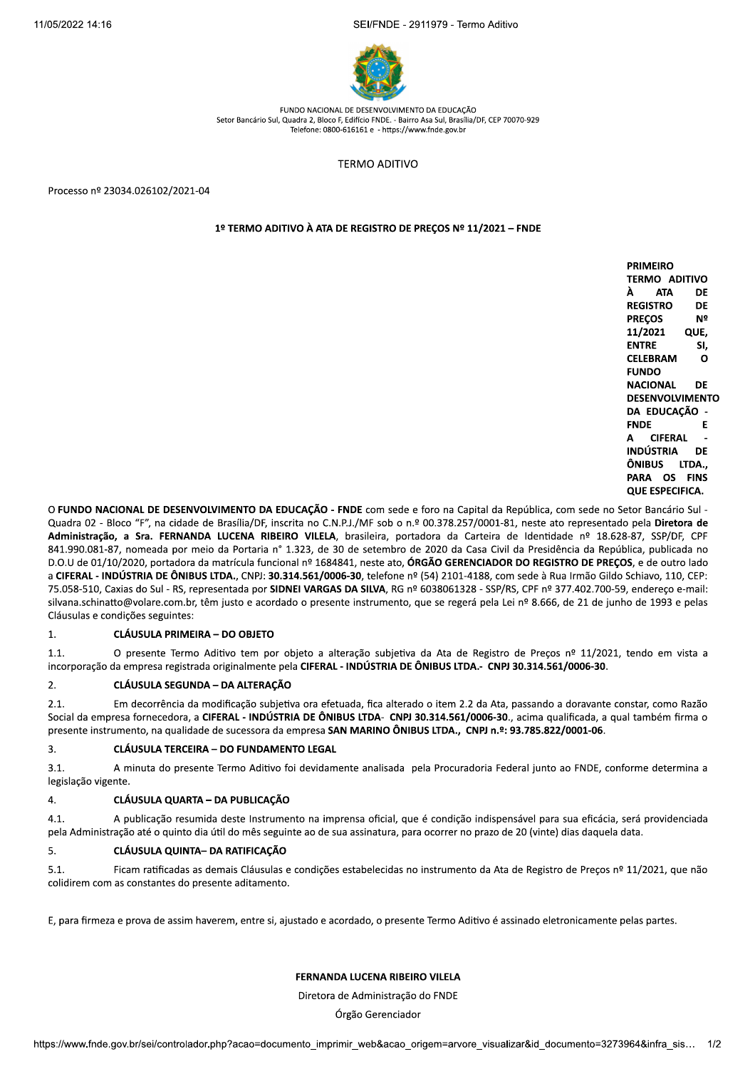$I/FNDE - 2911979 - Iermo Adiiivo$ 



FUNDO NACIONAL DE DESENVOLVIMENTO DA EDUCAÇÃO Setor Bancário Sul, Quadra 2, Bloco F, Edifício FNDE. - Bairro Asa Sul, Brasília/DF, CEP 70070-929  $Telefone: 0800-616161e - https://www.fnde.gov.br$ 

TERMO ADITIVO

Processo nº 23034.026102/2021-04

## 1º TERMO ADITIVO À ATA DE REGISTRO DE PREÇOS Nº 11/2021 - FNDE

| PRIMEIRO               |      |
|------------------------|------|
| <b>TERMO ADITIVO</b>   |      |
| À ATA                  | DE   |
| <b>REGISTRO</b>        | DE   |
| PRECOS                 | Nº   |
| 11/2021                | QUE, |
| ENTRE                  | SI.  |
| CELEBRAM               | ი    |
| <b>FUNDO</b>           |      |
| NACIONAL DE            |      |
| DESENVOLVIMENTO        |      |
| DA EDUCACÃO -          |      |
| FNDE                   | F    |
| A CIFERAL              | ٠    |
| INDÚSTRIA DE           |      |
| ÔNIBUS LTDA            |      |
| PARA OS FINS           |      |
| <b>QUE ESPECIFICA.</b> |      |

O FUNDO NACIONAL DE DESENVOLVIMENTO DA EDUCAÇÃO - FNDE com sede e foro na Capital da República, com sede no Setor Bancário Sul -Quadra 02 - Bloco "F", na cidade de Brasília/DF, inscrita no C.N.P.J./MF sob o n.º 00.378.257/0001-81, neste ato representado pela Diretora de Administração, a Sra. FERNANDA LUCENA RIBEIRO VILELA, brasileira, portadora da Carteira de Identidade nº 18.628-87, SSP/DF, CPF 841.990.081-87, nomeada por meio da Portaria n° 1.323, de 30 de setembro de 2020 da Casa Civil da Presidência da República, publicada no D.O.U de 01/10/2020, portadora da matrícula funcional nº 1684841, neste ato, ÓRGÃO GERENCIADOR DO REGISTRO DE PREÇOS, e de outro lado a CIFERAL - INDÚSTRIA DE ÔNIBUS LTDA., CNPJ: 30.314.561/0006-30, telefone nº (54) 2101-4188, com sede à Rua Irmão Gildo Schiavo, 110, CEP: 75.058-510, Caxias do Sul - RS, representada por SIDNEI VARGAS DA SILVA, RG nº 6038061328 - SSP/RS, CPF nº 377.402.700-59, endereço e-mail: silvana.schinatto@volare.com.br, têm justo e acordado o presente instrumento, que se regerá pela Lei nº 8.666, de 21 de junho de 1993 e pelas Cláusulas e condições seguintes:

## 1. CLÁUSULA PRIMEIRA – DO OBJETO

1.1. O presente Termo Aditivo tem por objeto a alteração subjetiva da Ata de Registro de Precos nº 11/2021, tendo em vista a incorporação da empresa registrada originalmente pela CIFERAL - INDÚSTRIA DE ÔNIBUS LTDA.- CNPJ 30.314.561/0006-30.

### 2. CLÁUSULA SEGUNDA – DA ALTERAÇÃO

2.1. Em decorrência da modificação subjetiva ora efetuada, fica alterado o item 2.2 da Ata, passando a doravante constar, como Razão Social da empresa fornecedora, a CIFERAL - INDÚSTRIA DE ÔNIBUS LTDA- CNPJ 30.314.561/0006-30., acima qualificada, a qual também firma o presente instrumento, na qualidade de sucessora da empresa SAN MARINO ÔNIBUS LTDA., CNPJ n.º: 93.785.822/0001-06.

### 3. CLÁUSULA TERCEIRA – DO FUNDAMENTO LEGAL

3.1. A minuta do presente Termo Aditivo foi devidamente analisada pela Procuradoria Federal junto ao FNDE, conforme determina a legislação vigente.

## 4. CLÁUSULA QUARTA - DA PUBLICAÇÃO

4.1. A publicação resumida deste Instrumento na imprensa oficial, que é condição indispensável para sua eficácia, será providenciada pela Administração até o quinto dia útil do mês seguinte ao de sua assinatura, para ocorrer no prazo de 20 (vinte) dias daquela data.

## 5. CLÁUSULA QUINTA- DA RATIFICAÇÃO

5.1. Ficam ratificadas as demais Cláusulas e condições estabelecidas no instrumento da Ata de Registro de Precos nº 11/2021, que não colidirem com as constantes do presente aditamento.

E, para firmeza e prova de assim haverem, entre si, ajustado e acordado, o presente Termo Aditivo é assinado eletronicamente pelas partes.

## FERNANDA LUCENA RIBEIRO VILELA

Diretora de Administração do FNDE

Órgão Gerenciador